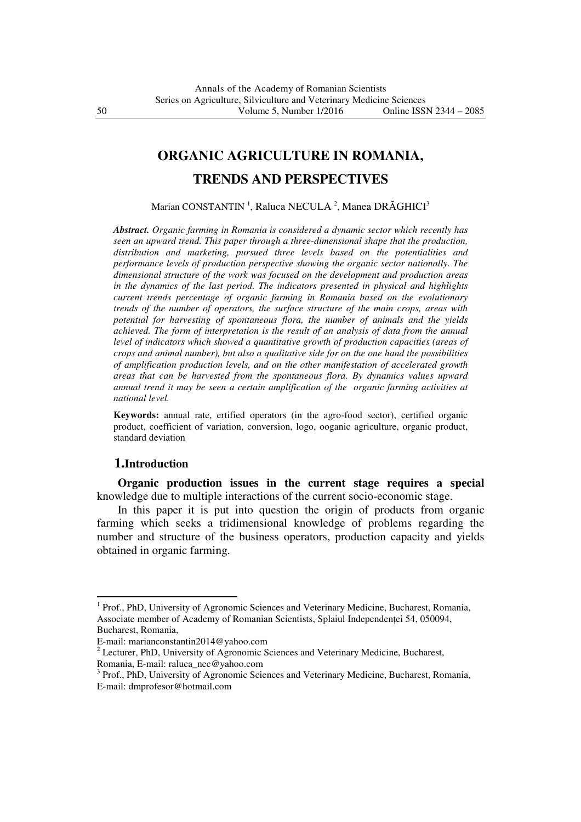# **ORGANIC AGRICULTURE IN ROMANIA,**

# **TRENDS AND PERSPECTIVES**

Marian CONSTANTIN<sup>-1</sup>, Raluca NECULA<sup>-2</sup>, Manea DRĂGHICI<sup>3</sup>

*Abstract. Organic farming in Romania is considered a dynamic sector which recently has seen an upward trend. This paper through a three-dimensional shape that the production, distribution and marketing, pursued three levels based on the potentialities and performance levels of production perspective showing the organic sector nationally. The dimensional structure of the work was focused on the development and production areas in the dynamics of the last period. The indicators presented in physical and highlights current trends percentage of organic farming in Romania based on the evolutionary trends of the number of operators, the surface structure of the main crops, areas with potential for harvesting of spontaneous flora, the number of animals and the yields achieved. The form of interpretation is the result of an analysis of data from the annual level of indicators which showed a quantitative growth of production capacities (areas of crops and animal number), but also a qualitative side for on the one hand the possibilities of amplification production levels, and on the other manifestation of accelerated growth areas that can be harvested from the spontaneous flora. By dynamics values upward annual trend it may be seen a certain amplification of the organic farming activities at national level.* 

**Keywords:** annual rate, ertified operators (in the agro-food sector), certified organic product, coefficient of variation, conversion, logo, ooganic agriculture, organic product, standard deviation

# **1.Introduction**

 $\overline{a}$ 

**Organic production issues in the current stage requires a special**  knowledge due to multiple interactions of the current socio-economic stage.

In this paper it is put into question the origin of products from organic farming which seeks a tridimensional knowledge of problems regarding the number and structure of the business operators, production capacity and yields obtained in organic farming.

<sup>&</sup>lt;sup>1</sup> Prof., PhD, University of Agronomic Sciences and Veterinary Medicine, Bucharest, Romania, Associate member of Academy of Romanian Scientists, Splaiul Independentei 54, 050094, Bucharest, Romania,

E-mail: marianconstantin2014@yahoo.com

<sup>&</sup>lt;sup>2</sup> Lecturer, PhD, University of Agronomic Sciences and Veterinary Medicine, Bucharest, Romania, E-mail: raluca\_nec@yahoo.com

<sup>&</sup>lt;sup>3</sup> Prof., PhD, University of Agronomic Sciences and Veterinary Medicine, Bucharest, Romania, E-mail: dmprofesor@hotmail.com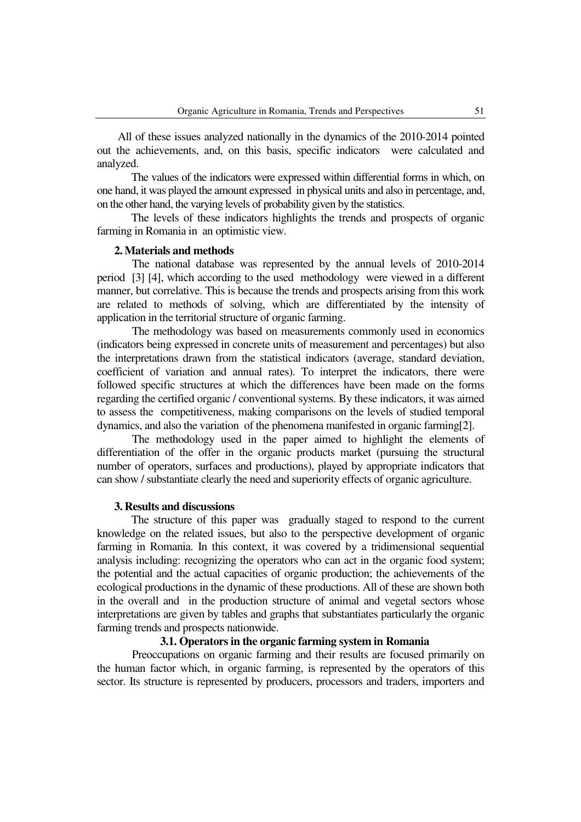All of these issues analyzed nationally in the dynamics of the 2010-2014 pointed out the achievements, and, on this basis, specific indicators were calculated and analyzed.

The values of the indicators were expressed within differential forms in which, on one hand, it was played the amount expressed in physical units and also in percentage, and, on the other hand, the varying levels of probability given by the statistics.

The levels of these indicators highlights the trends and prospects of organic farming in Romania in an optimistic view.

#### **2. Materials and methods**

The national database was represented by the annual levels of 2010-2014 period [3] [4], which according to the used methodology were viewed in a different manner, but correlative. This is because the trends and prospects arising from this work are related to methods of solving, which are differentiated by the intensity of application in the territorial structure of organic farming.

The methodology was based on measurements commonly used in economics (indicators being expressed in concrete units of measurement and percentages) but also the interpretations drawn from the statistical indicators (average, standard deviation, coefficient of variation and annual rates). To interpret the indicators, there were followed specific structures at which the differences have been made on the forms regarding the certified organic / conventional systems. By these indicators, it was aimed to assess the competitiveness, making comparisons on the levels of studied temporal dynamics, and also the variation of the phenomena manifested in organic farming[2].

The methodology used in the paper aimed to highlight the elements of differentiation of the offer in the organic products market (pursuing the structural number of operators, surfaces and productions), played by appropriate indicators that can show / substantiate clearly the need and superiority effects of organic agriculture.

#### **3. Results and discussions**

The structure of this paper was gradually staged to respond to the current knowledge on the related issues, but also to the perspective development of organic farming in Romania. In this context, it was covered by a tridimensional sequential analysis including: recognizing the operators who can act in the organic food system; the potential and the actual capacities of organic production; the achievements of the ecological productions in the dynamic of these productions. All of these are shown both in the overall and in the production structure of animal and vegetal sectors whose interpretations are given by tables and graphs that substantiates particularly the organic farming trends and prospects nationwide.

# **3.1. Operators in the organic farming system in Romania**

Preoccupations on organic farming and their results are focused primarily on the human factor which, in organic farming, is represented by the operators of this sector. Its structure is represented by producers, processors and traders, importers and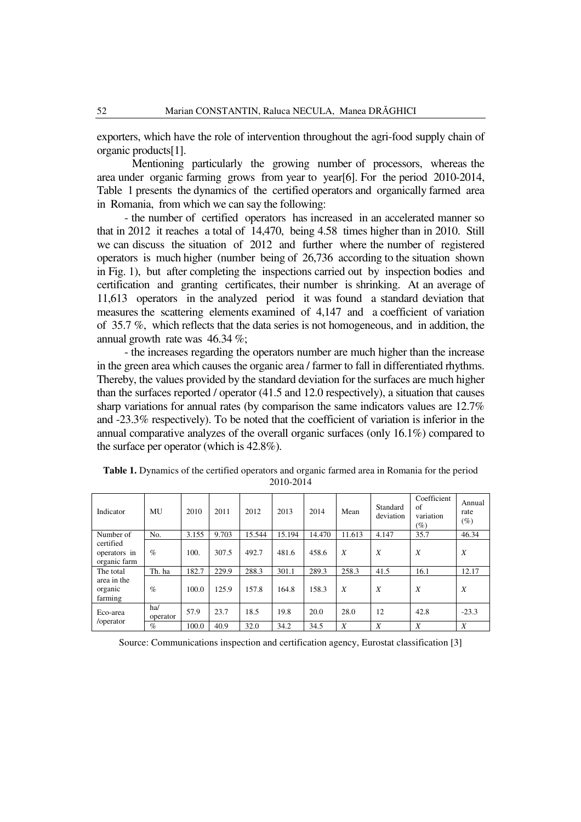exporters, which have the role of intervention throughout the agri-food supply chain of organic products[1].

Mentioning particularly the growing number of processors, whereas the area under organic farming grows from year to year[6]. For the period 2010-2014, Table 1 presents the dynamics of the certified operators and organically farmed area in Romania, from which we can say the following:

- the number of certified operators has increased in an accelerated manner so that in 2012 it reaches a total of 14,470, being 4.58 times higher than in 2010. Still we can discuss the situation of 2012 and further where the number of registered operators is much higher (number being of 26,736 according to the situation shown in Fig. 1), but after completing the inspections carried out by inspection bodies and certification and granting certificates, their number is shrinking. At an average of 11,613 operators in the analyzed period it was found a standard deviation that measures the scattering elements examined of 4,147 and a coefficient of variation of 35.7 %, which reflects that the data series is not homogeneous, and in addition, the annual growth rate was 46.34 %;

- the increases regarding the operators number are much higher than the increase in the green area which causes the organic area / farmer to fall in differentiated rhythms. Thereby, the values provided by the standard deviation for the surfaces are much higher than the surfaces reported / operator (41.5 and 12.0 respectively), a situation that causes sharp variations for annual rates (by comparison the same indicators values are 12.7% and -23.3% respectively). To be noted that the coefficient of variation is inferior in the annual comparative analyzes of the overall organic surfaces (only 16.1%) compared to the surface per operator (which is 42.8%).

| Indicator                                 | MU              | 2010  | 2011  | 2012   | 2013   | 2014   | Mean   | Standard<br>deviation | Coefficient<br>of<br>variation<br>$(\%)$ | Annual<br>rate<br>(%) |
|-------------------------------------------|-----------------|-------|-------|--------|--------|--------|--------|-----------------------|------------------------------------------|-----------------------|
| Number of                                 | No.             | 3.155 | 9.703 | 15.544 | 15.194 | 14.470 | 11.613 | 4.147                 | 35.7                                     | 46.34                 |
| certified<br>operators in<br>organic farm | $\%$            | 100.  | 307.5 | 492.7  | 481.6  | 458.6  | X      | X                     | X                                        | $\boldsymbol{X}$      |
| The total                                 | Th. ha          | 182.7 | 229.9 | 288.3  | 301.1  | 289.3  | 258.3  | 41.5                  | 16.1                                     | 12.17                 |
| area in the<br>organic<br>farming         | $\%$            | 100.0 | 125.9 | 157.8  | 164.8  | 158.3  | X      | X                     | X                                        | X                     |
| Eco-area                                  | ha/<br>operator | 57.9  | 23.7  | 18.5   | 19.8   | 20.0   | 28.0   | 12                    | 42.8                                     | $-23.3$               |
| /operator                                 | $\%$            | 100.0 | 40.9  | 32.0   | 34.2   | 34.5   | X      | X                     | X                                        | X                     |

**Table 1.** Dynamics of the certified operators and organic farmed area in Romania for the period 2010-2014

Source: Communications inspection and certification agency, Eurostat classification [3]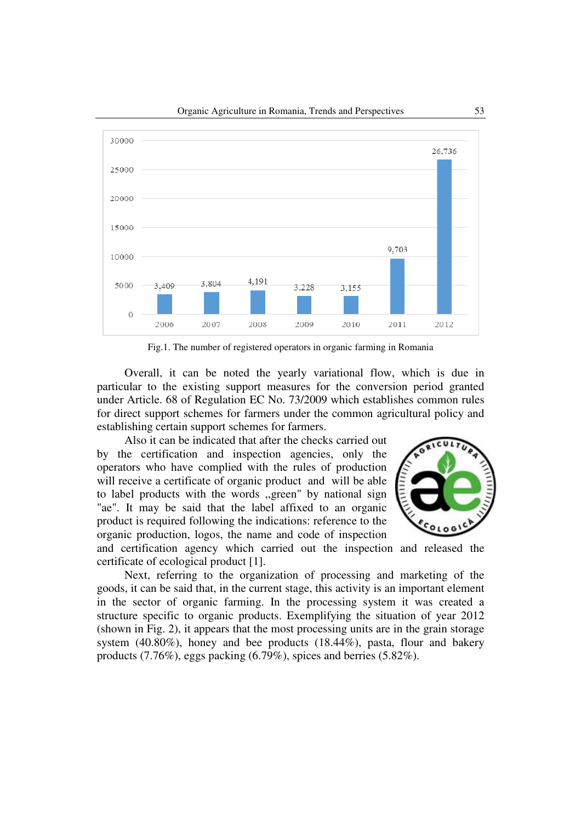

Fig.1. The number of registered operators in organic farming in Romania

Overall, it can be noted the yearly variational flow, which is due in particular to the existing support measures for the conversion period granted under Article. 68 of Regulation EC No. 73/2009 which establishes common rules for direct support schemes for farmers under the common agricultural policy and establishing certain support schemes for farmers.

Also it can be indicated that after the checks carried out by the certification and inspection agencies, only the operators who have complied with the rules of production will receive a certificate of organic product and will be able to label products with the words ,,green" by national sign "ae". It may be said that the label affixed to an organic product is required following the indications: reference to the organic production, logos, the name and code of inspection



and certification agency which carried out the inspection and released the certificate of ecological product [1].

Next, referring to the organization of processing and marketing of the goods, it can be said that, in the current stage, this activity is an important element in the sector of organic farming. In the processing system it was created a structure specific to organic products. Exemplifying the situation of year 2012 (shown in Fig. 2), it appears that the most processing units are in the grain storage system (40.80%), honey and bee products (18.44%), pasta, flour and bakery products (7.76%), eggs packing (6.79%), spices and berries (5.82%).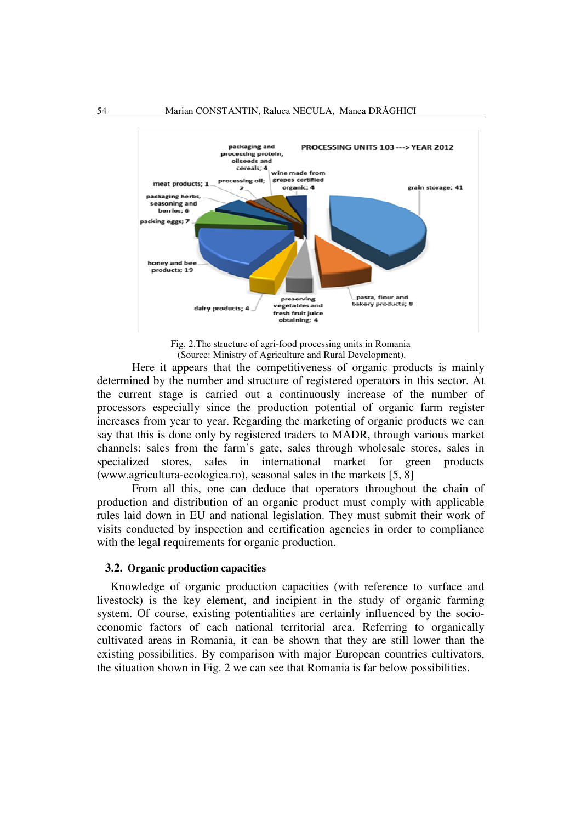

Fig. 2.The structure of agri-food processing units in Romania (Source: Ministry of Agriculture and Rural Development).

Here it appears that the competitiveness of organic products is mainly determined by the number and structure of registered operators in this sector. At the current stage is carried out a continuously increase of the number of processors especially since the production potential of organic farm register increases from year to year. Regarding the marketing of organic products we can say that this is done only by registered traders to MADR, through various market channels: sales from the farm's gate, sales through wholesale stores, sales in specialized stores, sales in international market for green products (www.agricultura-ecologica.ro), seasonal sales in the markets [5, 8]

From all this, one can deduce that operators throughout the chain of production and distribution of an organic product must comply with applicable rules laid down in EU and national legislation. They must submit their work of visits conducted by inspection and certification agencies in order to compliance with the legal requirements for organic production.

#### **3.2. Organic production capacities**

Knowledge of organic production capacities (with reference to surface and livestock) is the key element, and incipient in the study of organic farming system. Of course, existing potentialities are certainly influenced by the socioeconomic factors of each national territorial area. Referring to organically cultivated areas in Romania, it can be shown that they are still lower than the existing possibilities. By comparison with major European countries cultivators, the situation shown in Fig. 2 we can see that Romania is far below possibilities.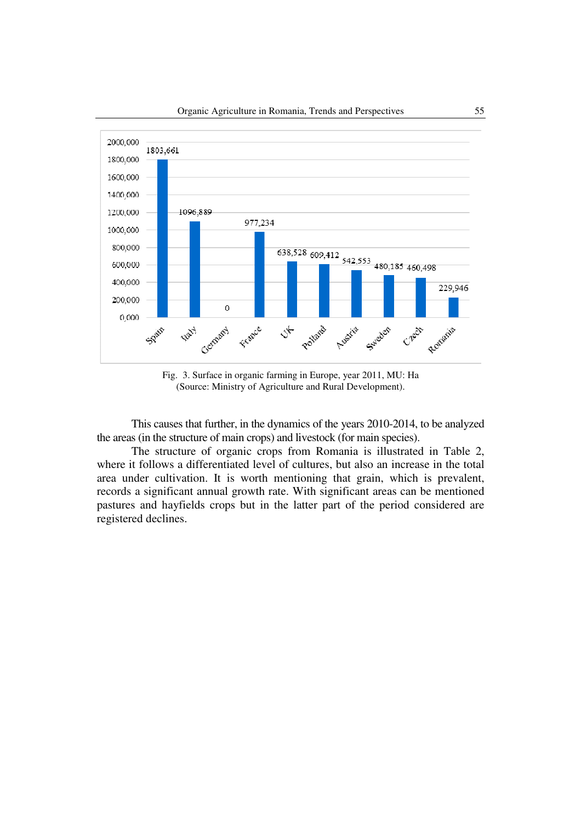

Fig. 3. Surface in organic farming in Europe, year 2011, MU: Ha (Source: Ministry of Agriculture and Rural Development).

This causes that further, in the dynamics of the years 2010-2014, to be analyzed the areas (in the structure of main crops) and livestock (for main species).

The structure of organic crops from Romania is illustrated in Table 2, where it follows a differentiated level of cultures, but also an increase in the total area under cultivation. It is worth mentioning that grain, which is prevalent, records a significant annual growth rate. With significant areas can be mentioned pastures and hayfields crops but in the latter part of the period considered are registered declines.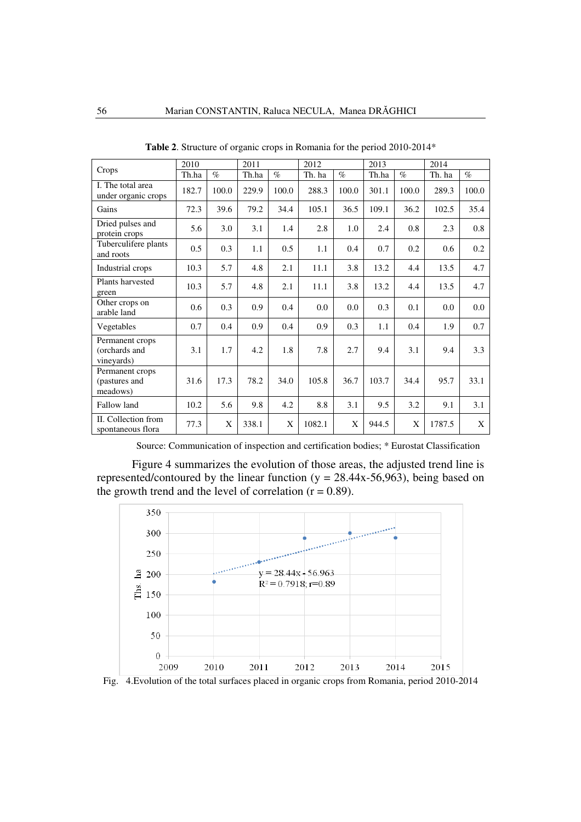|                                                | 2010  |       | 2011  |       | 2012   |       | 2013  |       | 2014   |       |
|------------------------------------------------|-------|-------|-------|-------|--------|-------|-------|-------|--------|-------|
| Crops                                          | Th.ha | $\%$  | Th.ha | $\%$  | Th. ha | $\%$  | Th.ha | $\%$  | Th. ha | $\%$  |
| I. The total area<br>under organic crops       | 182.7 | 100.0 | 229.9 | 100.0 | 288.3  | 100.0 | 301.1 | 100.0 | 289.3  | 100.0 |
| Gains                                          | 72.3  | 39.6  | 79.2  | 34.4  | 105.1  | 36.5  | 109.1 | 36.2  | 102.5  | 35.4  |
| Dried pulses and<br>protein crops              | 5.6   | 3.0   | 3.1   | 1.4   | 2.8    | 1.0   | 2.4   | 0.8   | 2.3    | 0.8   |
| Tuberculifere plants<br>and roots              | 0.5   | 0.3   | 1.1   | 0.5   | 1.1    | 0.4   | 0.7   | 0.2   | 0.6    | 0.2   |
| Industrial crops                               | 10.3  | 5.7   | 4.8   | 2.1   | 11.1   | 3.8   | 13.2  | 4.4   | 13.5   | 4.7   |
| Plants harvested<br>green                      | 10.3  | 5.7   | 4.8   | 2.1   | 11.1   | 3.8   | 13.2  | 4.4   | 13.5   | 4.7   |
| Other crops on<br>arable land                  | 0.6   | 0.3   | 0.9   | 0.4   | 0.0    | 0.0   | 0.3   | 0.1   | 0.0    | 0.0   |
| Vegetables                                     | 0.7   | 0.4   | 0.9   | 0.4   | 0.9    | 0.3   | 1.1   | 0.4   | 1.9    | 0.7   |
| Permanent crops<br>(orchards and<br>vineyards) | 3.1   | 1.7   | 4.2   | 1.8   | 7.8    | 2.7   | 9.4   | 3.1   | 9.4    | 3.3   |
| Permanent crops<br>(pastures and<br>meadows)   | 31.6  | 17.3  | 78.2  | 34.0  | 105.8  | 36.7  | 103.7 | 34.4  | 95.7   | 33.1  |
| Fallow land                                    | 10.2  | 5.6   | 9.8   | 4.2   | 8.8    | 3.1   | 9.5   | 3.2   | 9.1    | 3.1   |
| II. Collection from<br>spontaneous flora       | 77.3  | X     | 338.1 | X     | 1082.1 | X     | 944.5 | X     | 1787.5 | X     |

**Table 2**. Structure of organic crops in Romania for the period 2010-2014\*

Source: Communication of inspection and certification bodies; \* Eurostat Classification

Figure 4 summarizes the evolution of those areas, the adjusted trend line is represented/contoured by the linear function ( $y = 28.44x-56.963$ ), being based on the growth trend and the level of correlation  $(r = 0.89)$ .

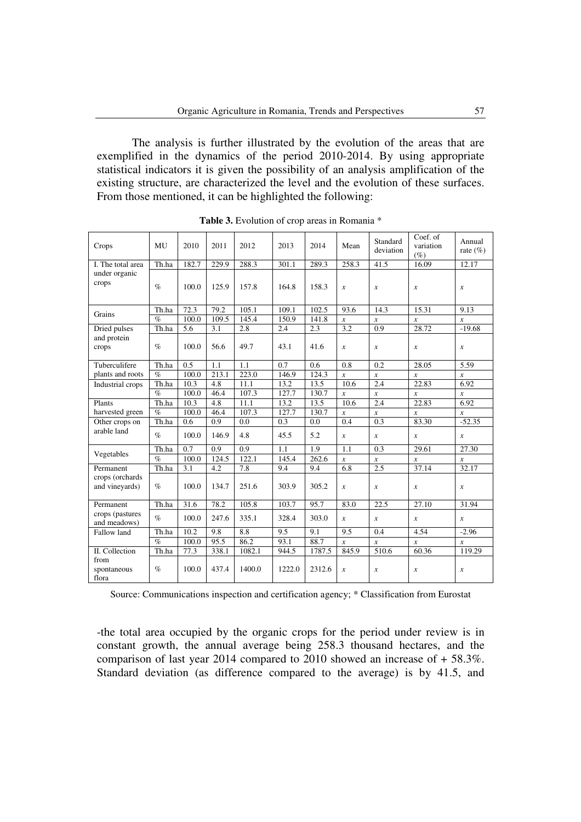The analysis is further illustrated by the evolution of the areas that are exemplified in the dynamics of the period 2010-2014. By using appropriate statistical indicators it is given the possibility of an analysis amplification of the existing structure, are characterized the level and the evolution of these surfaces. From those mentioned, it can be highlighted the following:

| Crops                             | MU    | 2010  | 2011  | 2012   | 2013   | 2014   | Mean             | Standard<br>deviation | Coef. $\overline{of}$<br>variation<br>$(\%)$ | Annual<br>rate $(\% )$ |
|-----------------------------------|-------|-------|-------|--------|--------|--------|------------------|-----------------------|----------------------------------------------|------------------------|
| I. The total area                 | Th.ha | 182.7 | 229.9 | 288.3  | 301.1  | 289.3  | 258.3            | 41.5                  | 16.09                                        | 12.17                  |
| under organic<br>crops            | $\%$  | 100.0 | 125.9 | 157.8  | 164.8  | 158.3  | $\mathcal{X}$    | $\boldsymbol{x}$      | $\boldsymbol{x}$                             | $\boldsymbol{x}$       |
| Grains                            | Th.ha | 72.3  | 79.2  | 105.1  | 109.1  | 102.5  | 93.6             | 14.3                  | 15.31                                        | 9.13                   |
|                                   | $\%$  | 100.0 | 109.5 | 145.4  | 150.9  | 141.8  | $\boldsymbol{x}$ | $\mathcal{X}$         | $\boldsymbol{x}$                             | $\boldsymbol{x}$       |
| Dried pulses                      | Th.ha | 5.6   | 3.1   | 2.8    | 2.4    | 2.3    | 3.2              | 0.9                   | 28.72                                        | $-19.68$               |
| and protein<br>crops              | $\%$  | 100.0 | 56.6  | 49.7   | 43.1   | 41.6   | $\boldsymbol{x}$ | $\boldsymbol{x}$      | $\mathcal{X}$                                | $\mathcal{X}$          |
| Tuberculifere                     | Th.ha | 0.5   | 1.1   | 1.1    | 0.7    | 0.6    | 0.8              | 0.2                   | 28.05                                        | 5.59                   |
| plants and roots                  | $\%$  | 100.0 | 213.1 | 223.0  | 146.9  | 124.3  | $\boldsymbol{x}$ | $\mathcal{X}$         | $\boldsymbol{x}$                             | $\mathcal{X}$          |
| Industrial crops                  | Th.ha | 10.3  | 4.8   | 11.1   | 13.2   | 13.5   | 10.6             | 2.4                   | 22.83                                        | 6.92                   |
|                                   | $\%$  | 100.0 | 46.4  | 107.3  | 127.7  | 130.7  | $\boldsymbol{x}$ | $\mathcal{X}$         | $\boldsymbol{x}$                             | $\boldsymbol{x}$       |
| Plants                            | Th.ha | 10.3  | 4.8   | 11.1   | 13.2   | 13.5   | 10.6             | 2.4                   | 22.83                                        | 6.92                   |
| harvested green                   | $\%$  | 100.0 | 46.4  | 107.3  | 127.7  | 130.7  | $\mathcal{X}$    | $\mathcal{X}$         | $\boldsymbol{x}$                             | $\boldsymbol{x}$       |
| Other crops on                    | Th.ha | 0.6   | 0.9   | 0.0    | 0.3    | 0.0    | 0.4              | 0.3                   | 83.30                                        | $-52.35$               |
| arable land                       | $\%$  | 100.0 | 146.9 | 4.8    | 45.5   | 5.2    | $\mathcal{X}$    | $\boldsymbol{x}$      | $\mathcal{X}$                                | $\boldsymbol{x}$       |
| Vegetables                        | Th.ha | 0.7   | 0.9   | 0.9    | 1.1    | 1.9    | 1.1              | 0.3                   | 29.61                                        | 27.30                  |
|                                   | $\%$  | 100.0 | 124.5 | 122.1  | 145.4  | 262.6  | $\boldsymbol{x}$ | $\boldsymbol{x}$      | $\boldsymbol{x}$                             | $\boldsymbol{x}$       |
| Permanent                         | Th.ha | 3.1   | 4.2   | 7.8    | 9.4    | 9.4    | 6.8              | 2.5                   | 37.14                                        | 32.17                  |
| crops (orchards<br>and vineyards) | $\%$  | 100.0 | 134.7 | 251.6  | 303.9  | 305.2  | $\boldsymbol{x}$ | $\boldsymbol{x}$      | $\mathcal{X}$                                | $\boldsymbol{x}$       |
| Permanent                         | Th.ha | 31.6  | 78.2  | 105.8  | 103.7  | 95.7   | 83.0             | 22.5                  | 27.10                                        | 31.94                  |
| crops (pastures<br>and meadows)   | $\%$  | 100.0 | 247.6 | 335.1  | 328.4  | 303.0  | $\mathcal{X}$    | $\boldsymbol{x}$      | $\mathcal{X}$                                | $\mathcal{X}$          |
| Fallow land                       | Th.ha | 10.2  | 9.8   | 8.8    | 9.5    | 9.1    | 9.5              | 0.4                   | 4.54                                         | $-2.96$                |
|                                   | $\%$  | 100.0 | 95.5  | 86.2   | 93.1   | 88.7   | $\boldsymbol{x}$ | $\mathcal{X}$         | $\boldsymbol{x}$                             | $\boldsymbol{x}$       |
| II. Collection                    | Th.ha | 77.3  | 338.1 | 1082.1 | 944.5  | 1787.5 | 845.9            | 510.6                 | 60.36                                        | 119.29                 |
| from<br>spontaneous<br>flora      | $\%$  | 100.0 | 437.4 | 1400.0 | 1222.0 | 2312.6 | $\boldsymbol{x}$ | $\boldsymbol{x}$      | $\mathcal{X}$                                | $\boldsymbol{x}$       |

**Table 3.** Evolution of crop areas in Romania \*

Source: Communications inspection and certification agency; \* Classification from Eurostat

-the total area occupied by the organic crops for the period under review is in constant growth, the annual average being 258.3 thousand hectares, and the comparison of last year 2014 compared to 2010 showed an increase of + 58.3%. Standard deviation (as difference compared to the average) is by 41.5, and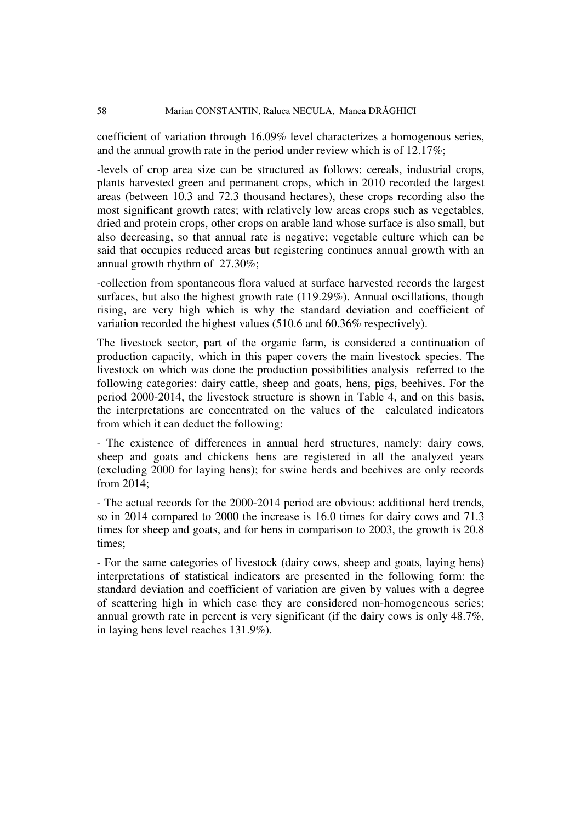coefficient of variation through 16.09% level characterizes a homogenous series, and the annual growth rate in the period under review which is of 12.17%;

-levels of crop area size can be structured as follows: cereals, industrial crops, plants harvested green and permanent crops, which in 2010 recorded the largest areas (between 10.3 and 72.3 thousand hectares), these crops recording also the most significant growth rates; with relatively low areas crops such as vegetables, dried and protein crops, other crops on arable land whose surface is also small, but also decreasing, so that annual rate is negative; vegetable culture which can be said that occupies reduced areas but registering continues annual growth with an annual growth rhythm of 27.30%;

-collection from spontaneous flora valued at surface harvested records the largest surfaces, but also the highest growth rate (119.29%). Annual oscillations, though rising, are very high which is why the standard deviation and coefficient of variation recorded the highest values (510.6 and 60.36% respectively).

The livestock sector, part of the organic farm, is considered a continuation of production capacity, which in this paper covers the main livestock species. The livestock on which was done the production possibilities analysis referred to the following categories: dairy cattle, sheep and goats, hens, pigs, beehives. For the period 2000-2014, the livestock structure is shown in Table 4, and on this basis, the interpretations are concentrated on the values of the calculated indicators from which it can deduct the following:

- The existence of differences in annual herd structures, namely: dairy cows, sheep and goats and chickens hens are registered in all the analyzed years (excluding 2000 for laying hens); for swine herds and beehives are only records from 2014;

- The actual records for the 2000-2014 period are obvious: additional herd trends, so in 2014 compared to 2000 the increase is 16.0 times for dairy cows and 71.3 times for sheep and goats, and for hens in comparison to 2003, the growth is 20.8 times;

- For the same categories of livestock (dairy cows, sheep and goats, laying hens) interpretations of statistical indicators are presented in the following form: the standard deviation and coefficient of variation are given by values with a degree of scattering high in which case they are considered non-homogeneous series; annual growth rate in percent is very significant (if the dairy cows is only 48.7%, in laying hens level reaches 131.9%).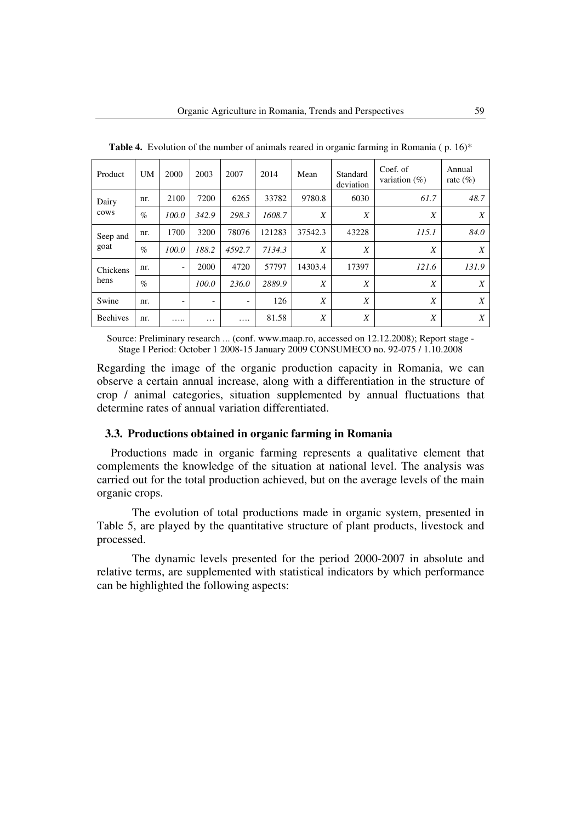| Product         | UM   | 2000                     | 2003                     | 2007     | 2014   | Mean             | Standard<br>deviation | Coef. of<br>variation $(\%)$ | Annual<br>rate $(\%)$ |
|-----------------|------|--------------------------|--------------------------|----------|--------|------------------|-----------------------|------------------------------|-----------------------|
| Dairy           | nr.  | 2100                     | 7200                     | 6265     | 33782  | 9780.8           | 6030                  | 61.7                         | 48.7                  |
| cows            | $\%$ | 100.0                    | 342.9                    | 298.3    | 1608.7 | $\boldsymbol{X}$ | $\boldsymbol{X}$      | X                            | X                     |
| Seep and        | nr.  | 1700                     | 3200                     | 78076    | 121283 | 37542.3          | 43228                 | 115.1                        | 84.0                  |
| goat            | $\%$ | 100.0                    | 188.2                    | 4592.7   | 7134.3 | $\boldsymbol{X}$ | $\boldsymbol{X}$      | X                            | X                     |
| Chickens        | nr.  | $\overline{\phantom{a}}$ | 2000                     | 4720     | 57797  | 14303.4          | 17397                 | 121.6                        | 131.9                 |
| hens            | $\%$ |                          | 100.0                    | 236.0    | 2889.9 | X                | X                     | X                            | X                     |
| Swine           | nr.  | $\overline{\phantom{a}}$ | $\overline{\phantom{a}}$ | -        | 126    | $\boldsymbol{X}$ | X                     | X                            | X                     |
| <b>Beehives</b> | nr.  | .                        | .                        | $\cdots$ | 81.58  | X                | X                     | $\boldsymbol{X}$             | X                     |

**Table 4.** Evolution of the number of animals reared in organic farming in Romania (p. 16)\*

Source: Preliminary research ... (conf. www.maap.ro, accessed on 12.12.2008); Report stage - Stage I Period: October 1 2008-15 January 2009 CONSUMECO no. 92-075 / 1.10.2008

Regarding the image of the organic production capacity in Romania, we can observe a certain annual increase, along with a differentiation in the structure of crop / animal categories, situation supplemented by annual fluctuations that determine rates of annual variation differentiated.

# **3.3. Productions obtained in organic farming in Romania**

Productions made in organic farming represents a qualitative element that complements the knowledge of the situation at national level. The analysis was carried out for the total production achieved, but on the average levels of the main organic crops.

The evolution of total productions made in organic system, presented in Table 5, are played by the quantitative structure of plant products, livestock and processed.

The dynamic levels presented for the period 2000-2007 in absolute and relative terms, are supplemented with statistical indicators by which performance can be highlighted the following aspects: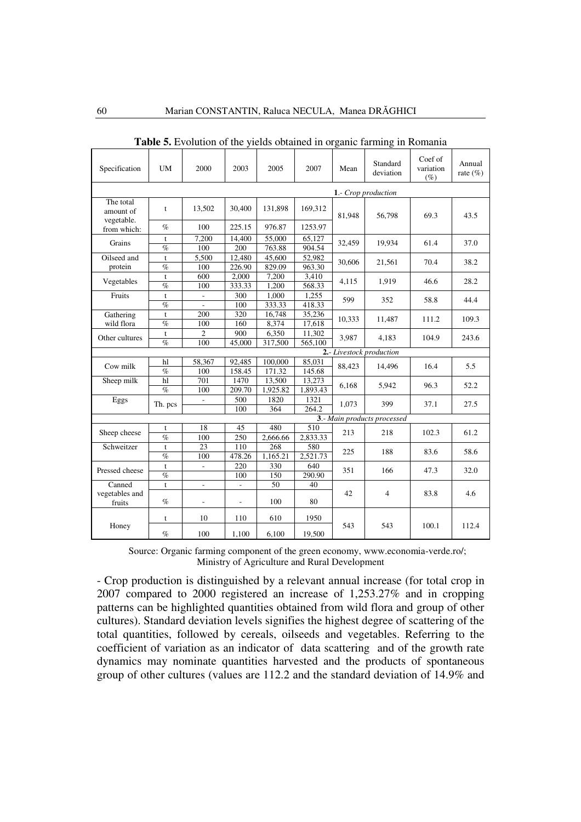| Specification                        | UM                         | 2000                     | 2003   | 2005     | 2007     | Mean                | Standard<br>deviation       | Coef of<br>variation | Annual<br>rate $(\% )$ |  |  |  |  |
|--------------------------------------|----------------------------|--------------------------|--------|----------|----------|---------------------|-----------------------------|----------------------|------------------------|--|--|--|--|
|                                      |                            |                          |        |          |          |                     |                             | $(\%)$               |                        |  |  |  |  |
|                                      |                            |                          |        |          |          | 1.- Crop production |                             |                      |                        |  |  |  |  |
| The total<br>amount of<br>vegetable. | t                          | 13,502                   | 30.400 | 131,898  | 169,312  | 81,948              | 56,798                      | 69.3                 | 43.5                   |  |  |  |  |
| from which:                          | $\%$                       | 100                      | 225.15 | 976.87   | 1253.97  |                     |                             |                      |                        |  |  |  |  |
| Grains                               | t                          | 7,200                    | 14,400 | 55,000   | 65.127   | 32,459              | 19.934                      | 61.4                 | 37.0                   |  |  |  |  |
|                                      | $\%$                       | 100                      | 200    | 763.88   | 904.54   |                     |                             |                      |                        |  |  |  |  |
| Oilseed and                          | $\mathbf t$                | 5,500                    | 12,480 | 45,600   | 52,982   | 30,606              | 21,561                      | 70.4                 | 38.2                   |  |  |  |  |
| protein                              | $\%$                       | 100                      | 226.90 | 829.09   | 963.30   |                     |                             |                      |                        |  |  |  |  |
| Vegetables                           | t                          | 600                      | 2.000  | 7.200    | 3.410    | 4.115               | 1.919                       | 46.6                 |                        |  |  |  |  |
|                                      | $\%$                       | 100                      | 333.33 | 1,200    | 568.33   |                     |                             |                      | 28.2                   |  |  |  |  |
| Fruits                               | t                          |                          | 300    | 1,000    | 1,255    | 599                 | 352                         | 58.8                 | 44.4                   |  |  |  |  |
|                                      | $\%$                       |                          | 100    | 333.33   | 418.33   |                     |                             |                      |                        |  |  |  |  |
| Gathering                            | t                          | 200                      | 320    | 16.748   | 35,236   | 10,333              | 11,487                      | 111.2                | 109.3                  |  |  |  |  |
| wild flora                           | $\%$                       | 100                      | 160    | 8.374    | 17.618   |                     |                             |                      |                        |  |  |  |  |
| Other cultures                       | t                          | 2                        | 900    | 6,350    | 11,302   | 3.987               | 4.183                       | 104.9                | 243.6                  |  |  |  |  |
|                                      | $\%$                       | 100                      | 45,000 | 317,500  | 565,100  |                     |                             |                      |                        |  |  |  |  |
|                                      |                            |                          |        |          |          |                     | 2.- Livestock production    |                      |                        |  |  |  |  |
| Cow milk                             | hl                         | 58,367                   | 92.485 | 100,000  | 85,031   | 88,423              | 14,496                      | 16.4                 | 5.5                    |  |  |  |  |
|                                      | $\%$                       | 100                      | 158.45 | 171.32   | 145.68   |                     |                             |                      |                        |  |  |  |  |
| Sheep milk                           | hl                         | 701                      | 1470   | 13,500   | 13,273   | 6,168               | 5,942                       | 96.3                 | 52.2                   |  |  |  |  |
|                                      | $\%$                       | 100                      | 209.70 | 1,925.82 | 1,893.43 |                     |                             |                      |                        |  |  |  |  |
| Eggs                                 | Th. pcs                    | ÷.                       | 500    | 1820     | 1321     | 1,073               | 399                         | 37.1                 | 27.5                   |  |  |  |  |
|                                      |                            |                          | 100    | 364      | 264.2    |                     |                             |                      |                        |  |  |  |  |
|                                      |                            |                          |        |          |          |                     | 3.- Main products processed |                      |                        |  |  |  |  |
| Sheep cheese                         | t                          | 18                       | 45     | 480      | 510      | 213                 | 218                         | 102.3                | 61.2                   |  |  |  |  |
|                                      | $\%$                       | 100                      | 250    | 2,666.66 | 2,833.33 |                     |                             |                      |                        |  |  |  |  |
| Schweitzer                           | t                          | 23                       | 110    | 268      | 580      | 225                 | 188                         | 83.6                 | 58.6                   |  |  |  |  |
|                                      | $\overline{\mathcal{O}}_0$ | 100                      | 478.26 | 1.165.21 | 2.521.73 |                     |                             |                      |                        |  |  |  |  |
| Pressed cheese                       | t                          | $\overline{a}$           | 220    | 330      | 640      | 351                 | 166                         | 47.3                 | 32.0                   |  |  |  |  |
|                                      | $\%$                       |                          | 100    | 150      | 290.90   |                     |                             |                      |                        |  |  |  |  |
| Canned                               | t                          | $\overline{a}$           | L.     | 50       | 40       |                     |                             |                      |                        |  |  |  |  |
| vegetables and<br>fruits             | $\%$                       | $\overline{\phantom{a}}$ | L,     | 100      | 80       | 42                  | $\overline{4}$              | 83.8                 | 4.6                    |  |  |  |  |
|                                      | t                          | 10                       | 110    | 610      | 1950     |                     |                             |                      |                        |  |  |  |  |
| Honey                                | $\%$                       | 100                      | 1,100  | 6,100    | 19,500   | 543                 | 543                         | 100.1                | 112.4                  |  |  |  |  |

**Table 5.** Evolution of the yields obtained in organic farming in Romania

 Source: Organic farming component of the green economy, www.economia-verde.ro/; Ministry of Agriculture and Rural Development

- Crop production is distinguished by a relevant annual increase (for total crop in 2007 compared to 2000 registered an increase of 1,253.27% and in cropping patterns can be highlighted quantities obtained from wild flora and group of other cultures). Standard deviation levels signifies the highest degree of scattering of the total quantities, followed by cereals, oilseeds and vegetables. Referring to the coefficient of variation as an indicator of data scattering and of the growth rate dynamics may nominate quantities harvested and the products of spontaneous group of other cultures (values are 112.2 and the standard deviation of 14.9% and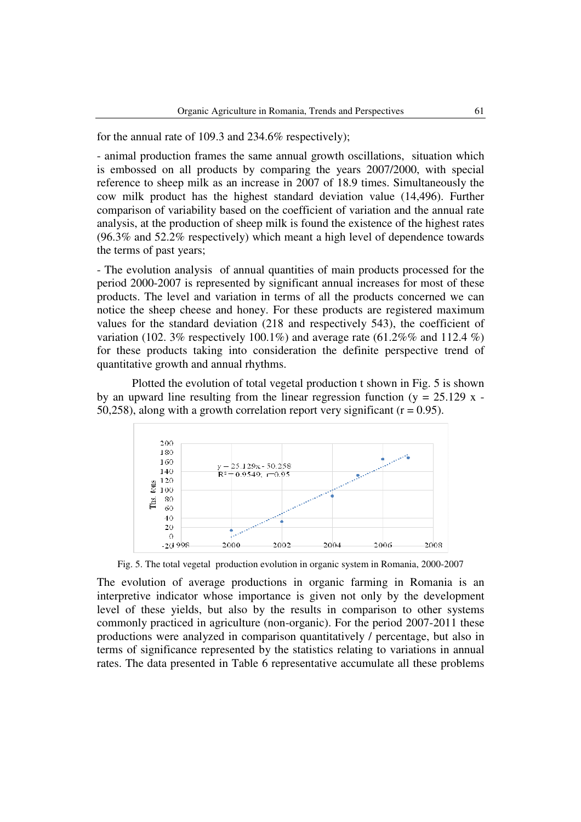for the annual rate of 109.3 and 234.6% respectively);

- animal production frames the same annual growth oscillations, situation which is embossed on all products by comparing the years 2007/2000, with special reference to sheep milk as an increase in 2007 of 18.9 times. Simultaneously the cow milk product has the highest standard deviation value (14,496). Further comparison of variability based on the coefficient of variation and the annual rate analysis, at the production of sheep milk is found the existence of the highest rates (96.3% and 52.2% respectively) which meant a high level of dependence towards the terms of past years;

- The evolution analysis of annual quantities of main products processed for the period 2000-2007 is represented by significant annual increases for most of these products. The level and variation in terms of all the products concerned we can notice the sheep cheese and honey. For these products are registered maximum values for the standard deviation (218 and respectively 543), the coefficient of variation (102. 3% respectively 100.1%) and average rate (61.2%% and 112.4 %) for these products taking into consideration the definite perspective trend of quantitative growth and annual rhythms.

Plotted the evolution of total vegetal production t shown in Fig. 5 is shown by an upward line resulting from the linear regression function ( $y = 25.129$  x -50,258), along with a growth correlation report very significant  $(r = 0.95)$ .



Fig. 5. The total vegetal production evolution in organic system in Romania, 2000-2007

The evolution of average productions in organic farming in Romania is an interpretive indicator whose importance is given not only by the development level of these yields, but also by the results in comparison to other systems commonly practiced in agriculture (non-organic). For the period 2007-2011 these productions were analyzed in comparison quantitatively / percentage, but also in terms of significance represented by the statistics relating to variations in annual rates. The data presented in Table 6 representative accumulate all these problems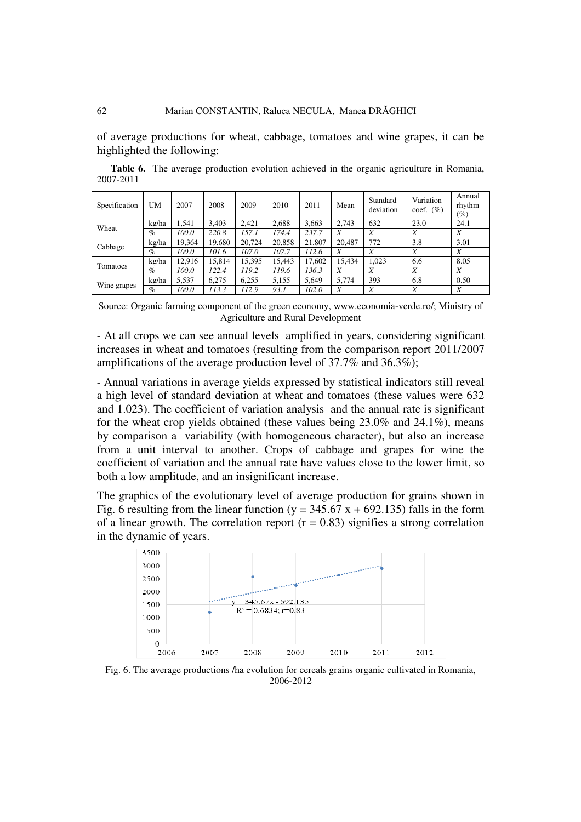of average productions for wheat, cabbage, tomatoes and wine grapes, it can be highlighted the following:

**Table 6.** The average production evolution achieved in the organic agriculture in Romania, 2007-2011

| Specification | UM    | 2007   | 2008   | 2009   | 2010   | 2011   | Mean   | Standard<br>deviation | Variation<br>coef. $(\% )$ | Annual<br>rhythm<br>$\left( \% \right)$ |
|---------------|-------|--------|--------|--------|--------|--------|--------|-----------------------|----------------------------|-----------------------------------------|
| Wheat         | kg/ha | .541   | 3.403  | 2.421  | 2.688  | 3,663  | 2.743  | 632                   | 23.0                       | 24.1                                    |
|               | $\%$  | 100.0  | 220.8  | 157.1  | 174.4  | 237.7  | X      | X                     | X                          | X                                       |
| Cabbage       | kg/ha | 19.364 | 19.680 | 20.724 | 20,858 | 21.807 | 20.487 | 772                   | 3.8                        | 3.01                                    |
|               | $\%$  | 100.0  | 101.6  | 107.0  | 107.7  | 112.6  | X      | X                     | X                          | X                                       |
| Tomatoes      | kg/ha | 12.916 | 15.814 | 15.395 | 15.443 | 17.602 | 15.434 | 1.023                 | 6.6                        | 8.05                                    |
|               | $\%$  | 100.0  | 122.4  | 119.2  | 119.6  | 136.3  | X      | X                     | X                          | X                                       |
|               | kg/ha | 5,537  | 6.275  | 6.255  | 5,155  | 5.649  | 5.774  | 393                   | 6.8                        | 0.50                                    |
| Wine grapes   | $\%$  | 100.0  | 113.3  | 112.9  | 93.1   | 102.0  | X      | X                     | X                          | X                                       |

Source: Organic farming component of the green economy, www.economia-verde.ro/; Ministry of Agriculture and Rural Development

- At all crops we can see annual levels amplified in years, considering significant increases in wheat and tomatoes (resulting from the comparison report 2011/2007 amplifications of the average production level of 37.7% and 36.3%);

- Annual variations in average yields expressed by statistical indicators still reveal a high level of standard deviation at wheat and tomatoes (these values were 632 and 1.023). The coefficient of variation analysis and the annual rate is significant for the wheat crop yields obtained (these values being 23.0% and 24.1%), means by comparison a variability (with homogeneous character), but also an increase from a unit interval to another. Crops of cabbage and grapes for wine the coefficient of variation and the annual rate have values close to the lower limit, so both a low amplitude, and an insignificant increase.

The graphics of the evolutionary level of average production for grains shown in Fig. 6 resulting from the linear function ( $y = 345.67 x + 692.135$ ) falls in the form of a linear growth. The correlation report  $(r = 0.83)$  signifies a strong correlation in the dynamic of years.



Fig. 6. The average productions /ha evolution for cereals grains organic cultivated in Romania, 2006-2012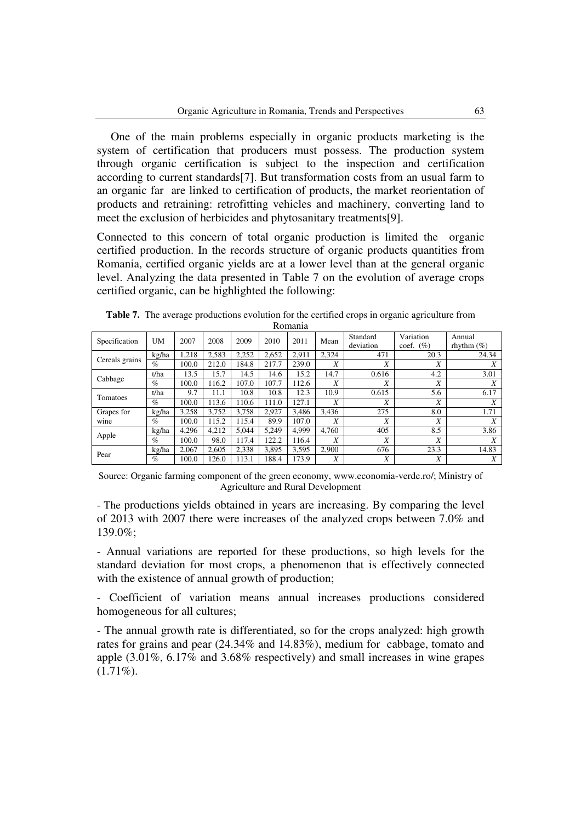One of the main problems especially in organic products marketing is the system of certification that producers must possess. The production system through organic certification is subject to the inspection and certification according to current standards[7]. But transformation costs from an usual farm to an organic far are linked to certification of products, the market reorientation of products and retraining: retrofitting vehicles and machinery, converting land to meet the exclusion of herbicides and phytosanitary treatments[9].

Connected to this concern of total organic production is limited the organic certified production. In the records structure of organic products quantities from Romania, certified organic yields are at a lower level than at the general organic level. Analyzing the data presented in Table 7 on the evolution of average crops certified organic, can be highlighted the following:

|                |           |       |       |       |       | nomania |       |                       |                           |                         |
|----------------|-----------|-------|-------|-------|-------|---------|-------|-----------------------|---------------------------|-------------------------|
| Specification  | <b>UM</b> | 2007  | 2008  | 2009  | 2010  | 2011    | Mean  | Standard<br>deviation | Variation<br>(%)<br>coef. | Annual<br>rhythm $(\%)$ |
| Cereals grains | kg/ha     | .218  | 2,583 | 2.252 | 2,652 | 2.911   | 2,324 | 471                   | 20.3                      | 24.34                   |
|                | $\%$      | 100.0 | 212.0 | 184.8 | 217.7 | 239.0   | X     | X                     | Χ                         | X                       |
| Cabbage        | t/ha      | 13.5  | 15.7  | 14.5  | 14.6  | 15.2    | 14.7  | 0.616                 | 4.2                       | 3.01                    |
|                | $\%$      | 100.0 | 116.2 | 107.0 | 107.7 | 112.6   | X     | X                     | X                         | Χ                       |
| Tomatoes       | t/ha      | 9.7   | 11.1  | 10.8  | 10.8  | 12.3    | 10.9  | 0.615                 | 5.6                       | 6.17                    |
|                | $\%$      | 100.0 | 113.6 | 110.6 | 111.0 | 127.1   | X     | X                     | X                         | X                       |
| Grapes for     | kg/ha     | 3.258 | 3.752 | 3.758 | 2,927 | 3.486   | 3,436 | 275                   | 8.0                       | 1.71                    |
| wine           | $\%$      | 100.0 | 115.2 | 115.4 | 89.9  | 107.0   | X     | Χ                     | X                         | X                       |
|                | kg/ha     | 4.296 | 4.212 | 5.044 | 5.249 | 4.999   | 4.760 | 405                   | 8.5                       | 3.86                    |
| Apple          | $\%$      | 100.0 | 98.0  | 117.4 | 122.2 | 116.4   | X     | Χ                     | Χ                         | X                       |
|                | kg/ha     | 2.067 | 2,605 | 2.338 | 3,895 | 3.595   | 2.900 | 676                   | 23.3                      | 14.83                   |
| Pear           | $\%$      | 100.0 | 126.0 | 113.1 | 188.4 | 173.9   | X     | X                     | X                         | X                       |

**Table 7.** The average productions evolution for the certified crops in organic agriculture from Romania

Source: Organic farming component of the green economy, www.economia-verde.ro/; Ministry of Agriculture and Rural Development

- The productions yields obtained in years are increasing. By comparing the level of 2013 with 2007 there were increases of the analyzed crops between 7.0% and 139.0%;

- Annual variations are reported for these productions, so high levels for the standard deviation for most crops, a phenomenon that is effectively connected with the existence of annual growth of production;

- Coefficient of variation means annual increases productions considered homogeneous for all cultures;

- The annual growth rate is differentiated, so for the crops analyzed: high growth rates for grains and pear (24.34% and 14.83%), medium for cabbage, tomato and apple (3.01%, 6.17% and 3.68% respectively) and small increases in wine grapes  $(1.71\%)$ .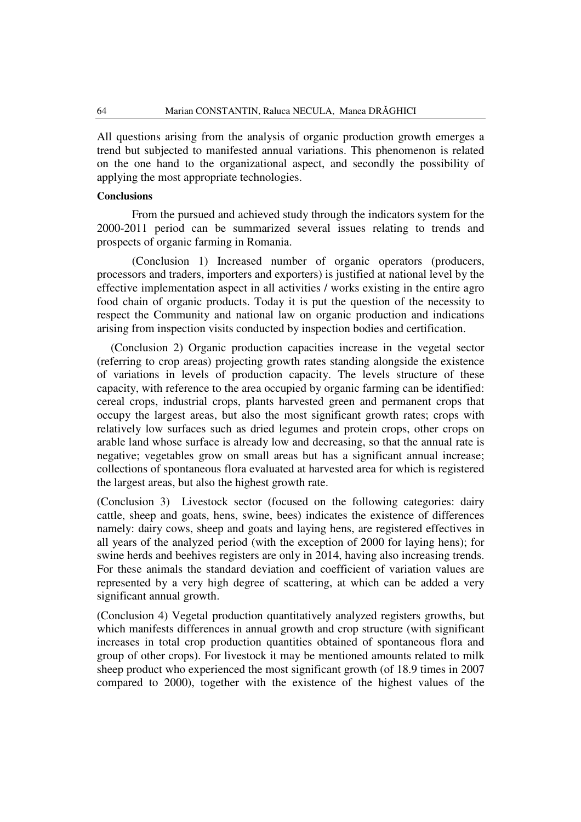All questions arising from the analysis of organic production growth emerges a trend but subjected to manifested annual variations. This phenomenon is related on the one hand to the organizational aspect, and secondly the possibility of applying the most appropriate technologies.

#### **Conclusions**

From the pursued and achieved study through the indicators system for the 2000-2011 period can be summarized several issues relating to trends and prospects of organic farming in Romania.

(Conclusion 1) Increased number of organic operators (producers, processors and traders, importers and exporters) is justified at national level by the effective implementation aspect in all activities / works existing in the entire agro food chain of organic products. Today it is put the question of the necessity to respect the Community and national law on organic production and indications arising from inspection visits conducted by inspection bodies and certification.

 (Conclusion 2) Organic production capacities increase in the vegetal sector (referring to crop areas) projecting growth rates standing alongside the existence of variations in levels of production capacity. The levels structure of these capacity, with reference to the area occupied by organic farming can be identified: cereal crops, industrial crops, plants harvested green and permanent crops that occupy the largest areas, but also the most significant growth rates; crops with relatively low surfaces such as dried legumes and protein crops, other crops on arable land whose surface is already low and decreasing, so that the annual rate is negative; vegetables grow on small areas but has a significant annual increase; collections of spontaneous flora evaluated at harvested area for which is registered the largest areas, but also the highest growth rate.

(Conclusion 3) Livestock sector (focused on the following categories: dairy cattle, sheep and goats, hens, swine, bees) indicates the existence of differences namely: dairy cows, sheep and goats and laying hens, are registered effectives in all years of the analyzed period (with the exception of 2000 for laying hens); for swine herds and beehives registers are only in 2014, having also increasing trends. For these animals the standard deviation and coefficient of variation values are represented by a very high degree of scattering, at which can be added a very significant annual growth.

(Conclusion 4) Vegetal production quantitatively analyzed registers growths, but which manifests differences in annual growth and crop structure (with significant increases in total crop production quantities obtained of spontaneous flora and group of other crops). For livestock it may be mentioned amounts related to milk sheep product who experienced the most significant growth (of 18.9 times in 2007 compared to 2000), together with the existence of the highest values of the